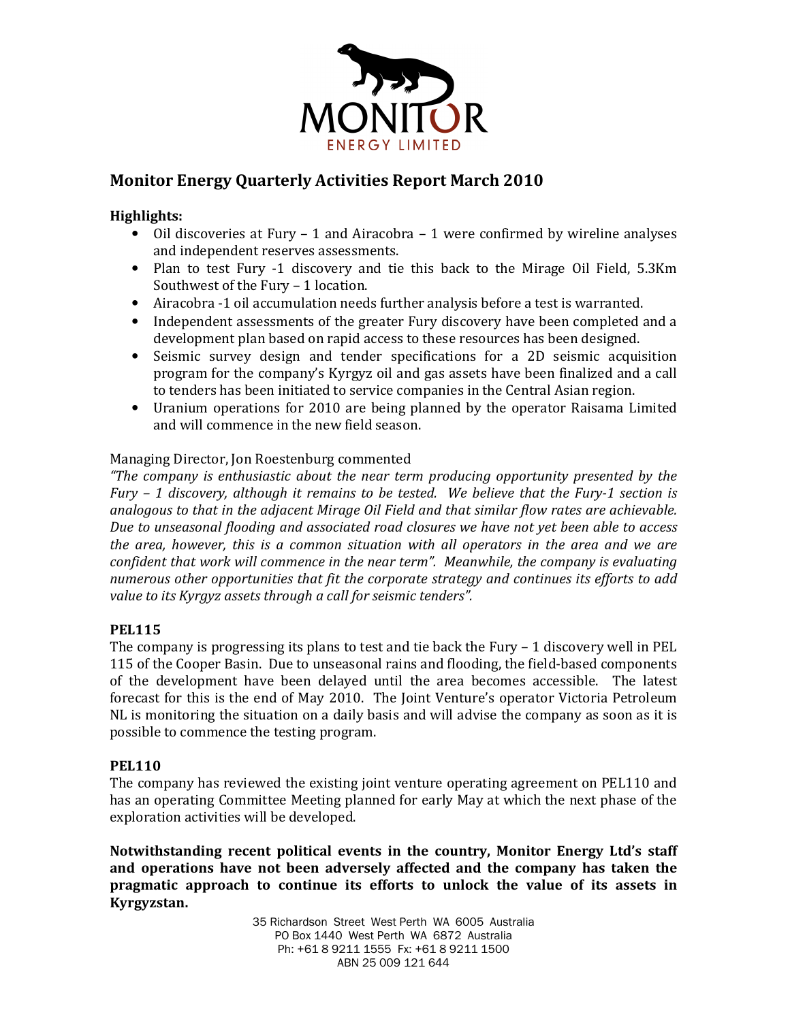

# Monitor Energy Quarterly Activities Report March 2010

# Highlights:

- Oil discoveries at Fury 1 and Airacobra 1 were confirmed by wireline analyses and independent reserves assessments.
- Plan to test Fury -1 discovery and tie this back to the Mirage Oil Field, 5.3Km Southwest of the Fury – 1 location.
- Airacobra -1 oil accumulation needs further analysis before a test is warranted.
- Independent assessments of the greater Fury discovery have been completed and a development plan based on rapid access to these resources has been designed.
- Seismic survey design and tender specifications for a 2D seismic acquisition program for the company's Kyrgyz oil and gas assets have been finalized and a call to tenders has been initiated to service companies in the Central Asian region.
- Uranium operations for 2010 are being planned by the operator Raisama Limited and will commence in the new field season.

# Managing Director, Jon Roestenburg commented

"The company is enthusiastic about the near term producing opportunity presented by the Fury – 1 discovery, although it remains to be tested. We believe that the Fury-1 section is analogous to that in the adjacent Mirage Oil Field and that similar flow rates are achievable. Due to unseasonal flooding and associated road closures we have not yet been able to access the area, however, this is a common situation with all operators in the area and we are confident that work will commence in the near term". Meanwhile, the company is evaluating numerous other opportunities that fit the corporate strategy and continues its efforts to add value to its Kyrgyz assets through a call for seismic tenders".

# PEL115

The company is progressing its plans to test and tie back the Fury  $-1$  discovery well in PEL 115 of the Cooper Basin. Due to unseasonal rains and flooding, the field-based components of the development have been delayed until the area becomes accessible. The latest forecast for this is the end of May 2010. The Joint Venture's operator Victoria Petroleum NL is monitoring the situation on a daily basis and will advise the company as soon as it is possible to commence the testing program.

# PEL110

The company has reviewed the existing joint venture operating agreement on PEL110 and has an operating Committee Meeting planned for early May at which the next phase of the exploration activities will be developed.

Notwithstanding recent political events in the country, Monitor Energy Ltd's staff and operations have not been adversely affected and the company has taken the pragmatic approach to continue its efforts to unlock the value of its assets in Kyrgyzstan.

> 35 Richardson Street West Perth WA 6005 Australia PO Box 1440 West Perth WA 6872 Australia Ph: +61 8 9211 1555 Fx: +61 8 9211 1500 ABN 25 009 121 644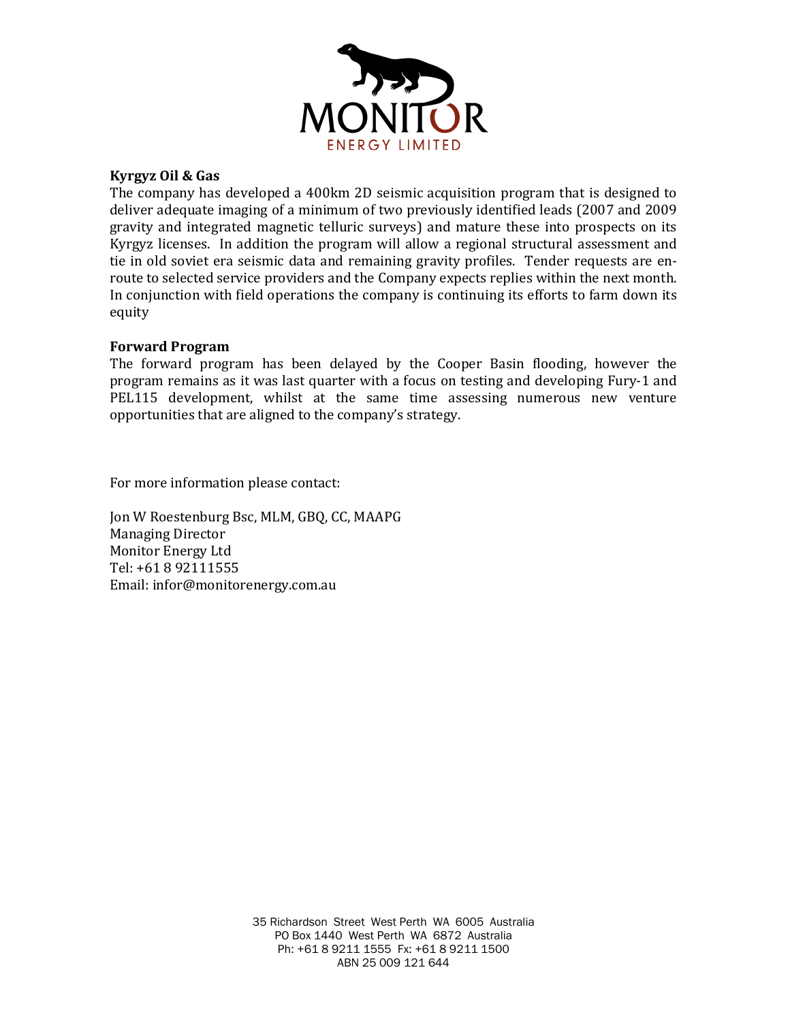

### Kyrgyz Oil & Gas

The company has developed a 400km 2D seismic acquisition program that is designed to deliver adequate imaging of a minimum of two previously identified leads (2007 and 2009 gravity and integrated magnetic telluric surveys) and mature these into prospects on its Kyrgyz licenses. In addition the program will allow a regional structural assessment and tie in old soviet era seismic data and remaining gravity profiles. Tender requests are enroute to selected service providers and the Company expects replies within the next month. In conjunction with field operations the company is continuing its efforts to farm down its equity

#### Forward Program

The forward program has been delayed by the Cooper Basin flooding, however the program remains as it was last quarter with a focus on testing and developing Fury-1 and PEL115 development, whilst at the same time assessing numerous new venture opportunities that are aligned to the company's strategy.

For more information please contact:

Jon W Roestenburg Bsc, MLM, GBQ, CC, MAAPG Managing Director Monitor Energy Ltd Tel: +61 8 92111555 Email: infor@monitorenergy.com.au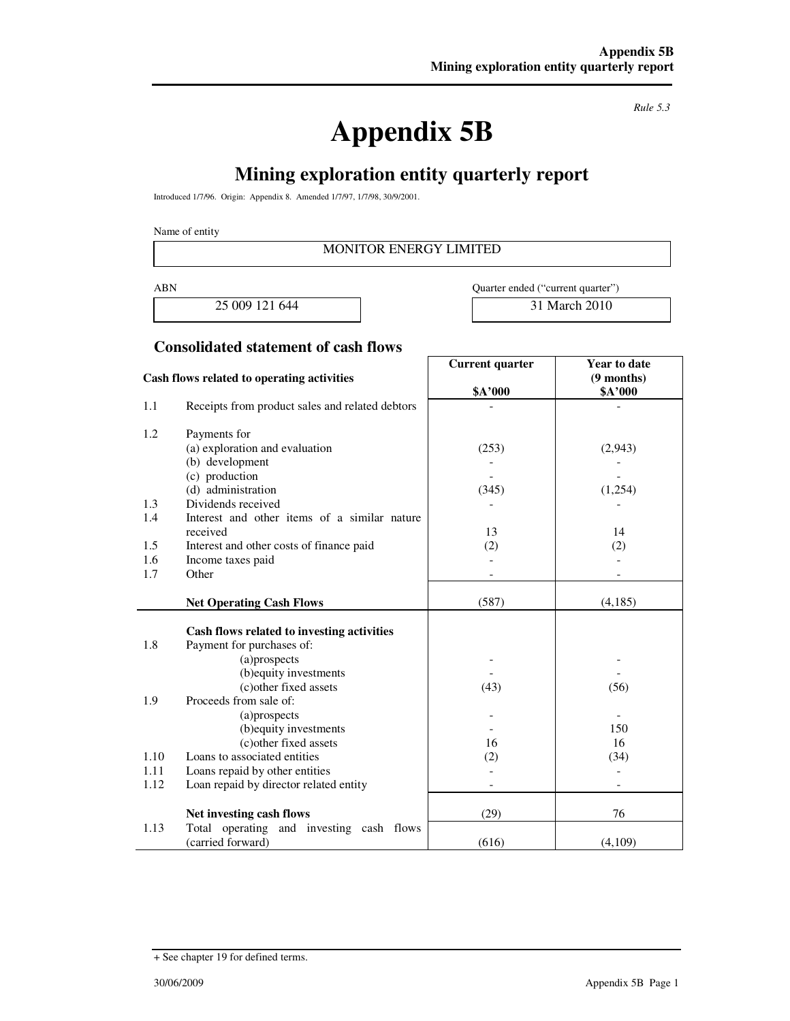**Appendix 5B** 

*Rule 5.3* 

# **Mining exploration entity quarterly report**

Introduced 1/7/96. Origin: Appendix 8. Amended 1/7/97, 1/7/98, 30/9/2001.

Name of entity

### MONITOR ENERGY LIMITED

25 009 121 644 31 March 2010

ABN Quarter ended ("current quarter")

### **Consolidated statement of cash flows**

|                                            |                                                  | Current quarter | <b>Year to date</b>             |  |
|--------------------------------------------|--------------------------------------------------|-----------------|---------------------------------|--|
| Cash flows related to operating activities |                                                  |                 | $(9$ months)                    |  |
|                                            |                                                  | \$A'000         | \$A'000                         |  |
| 1.1                                        | Receipts from product sales and related debtors  |                 |                                 |  |
| 1.2                                        | Payments for                                     |                 |                                 |  |
|                                            | (a) exploration and evaluation                   | (253)           | (2,943)                         |  |
|                                            | (b) development                                  |                 |                                 |  |
|                                            | (c) production                                   |                 |                                 |  |
|                                            | (d) administration                               | (345)           | (1,254)                         |  |
| 1.3                                        | Dividends received                               |                 |                                 |  |
| 1.4                                        | Interest and other items of a similar nature     |                 |                                 |  |
|                                            | received                                         | 13              | 14                              |  |
| 1.5                                        | Interest and other costs of finance paid         | (2)             | (2)                             |  |
| 1.6                                        | Income taxes paid                                |                 |                                 |  |
| 1.7                                        | Other                                            |                 |                                 |  |
|                                            |                                                  |                 |                                 |  |
|                                            | <b>Net Operating Cash Flows</b>                  | (587)           | (4,185)                         |  |
|                                            |                                                  |                 |                                 |  |
|                                            | Cash flows related to investing activities       |                 |                                 |  |
| 1.8                                        | Payment for purchases of:                        |                 |                                 |  |
|                                            | (a)prospects                                     |                 |                                 |  |
|                                            | (b) equity investments                           |                 |                                 |  |
|                                            | (c) other fixed assets                           | (43)            | (56)                            |  |
| 1.9                                        | Proceeds from sale of:                           |                 |                                 |  |
|                                            | (a)prospects                                     |                 | $\overline{\phantom{a}}$<br>150 |  |
|                                            | (b) equity investments<br>(c) other fixed assets |                 | 16                              |  |
| 1.10                                       | Loans to associated entities                     | 16              |                                 |  |
|                                            |                                                  | (2)             | (34)                            |  |
| 1.11                                       | Loans repaid by other entities                   |                 |                                 |  |
| 1.12                                       | Loan repaid by director related entity           |                 |                                 |  |
|                                            | Net investing cash flows                         | (29)            | 76                              |  |
| 1.13                                       | Total operating and investing cash flows         |                 |                                 |  |
|                                            | (carried forward)                                | (616)           | (4,109)                         |  |

<sup>+</sup> See chapter 19 for defined terms.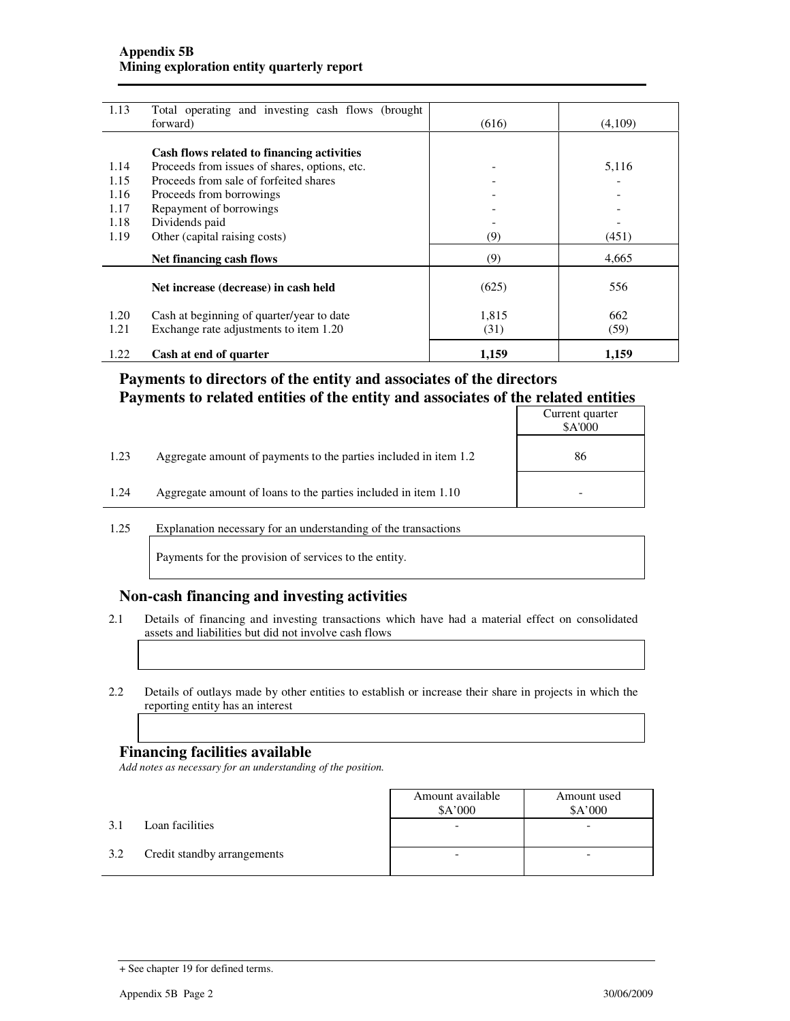#### **Appendix 5B Mining exploration entity quarterly report**

| 1.13 | Total operating and investing cash flows (brought)<br>forward) | (616) | (4,109) |
|------|----------------------------------------------------------------|-------|---------|
|      |                                                                |       |         |
|      | Cash flows related to financing activities                     |       |         |
| 1.14 | Proceeds from issues of shares, options, etc.                  |       | 5,116   |
| 1.15 | Proceeds from sale of forfeited shares                         |       |         |
| 1.16 | Proceeds from borrowings                                       |       |         |
| 1.17 | Repayment of borrowings                                        |       |         |
| 1.18 | Dividends paid                                                 |       |         |
| 1.19 | Other (capital raising costs)                                  | (9)   | (451)   |
|      | Net financing cash flows                                       | (9)   | 4,665   |
|      | Net increase (decrease) in cash held                           | (625) | 556     |
| 1.20 | Cash at beginning of quarter/year to date                      | 1,815 | 662     |
| 1.21 | Exchange rate adjustments to item 1.20                         | (31)  | (59)    |
| 1.22 | Cash at end of quarter                                         | 1,159 | 1,159   |

# **Payments to directors of the entity and associates of the directors Payments to related entities of the entity and associates of the related entities**

|      |                                                                  | Current quarter<br>\$A'000 |
|------|------------------------------------------------------------------|----------------------------|
| 1.23 | Aggregate amount of payments to the parties included in item 1.2 | 86                         |
| 1.24 | Aggregate amount of loans to the parties included in item 1.10   |                            |

1.25 Explanation necessary for an understanding of the transactions

Payments for the provision of services to the entity.

#### **Non-cash financing and investing activities**

- 2.1 Details of financing and investing transactions which have had a material effect on consolidated assets and liabilities but did not involve cash flows
- 2.2 Details of outlays made by other entities to establish or increase their share in projects in which the reporting entity has an interest

#### **Financing facilities available**

*Add notes as necessary for an understanding of the position.* 

|     |                             | Amount available<br>\$A'000 | Amount used<br>A'000 |  |
|-----|-----------------------------|-----------------------------|----------------------|--|
| 3.1 | Loan facilities             |                             |                      |  |
| 3.2 | Credit standby arrangements |                             |                      |  |

<sup>+</sup> See chapter 19 for defined terms.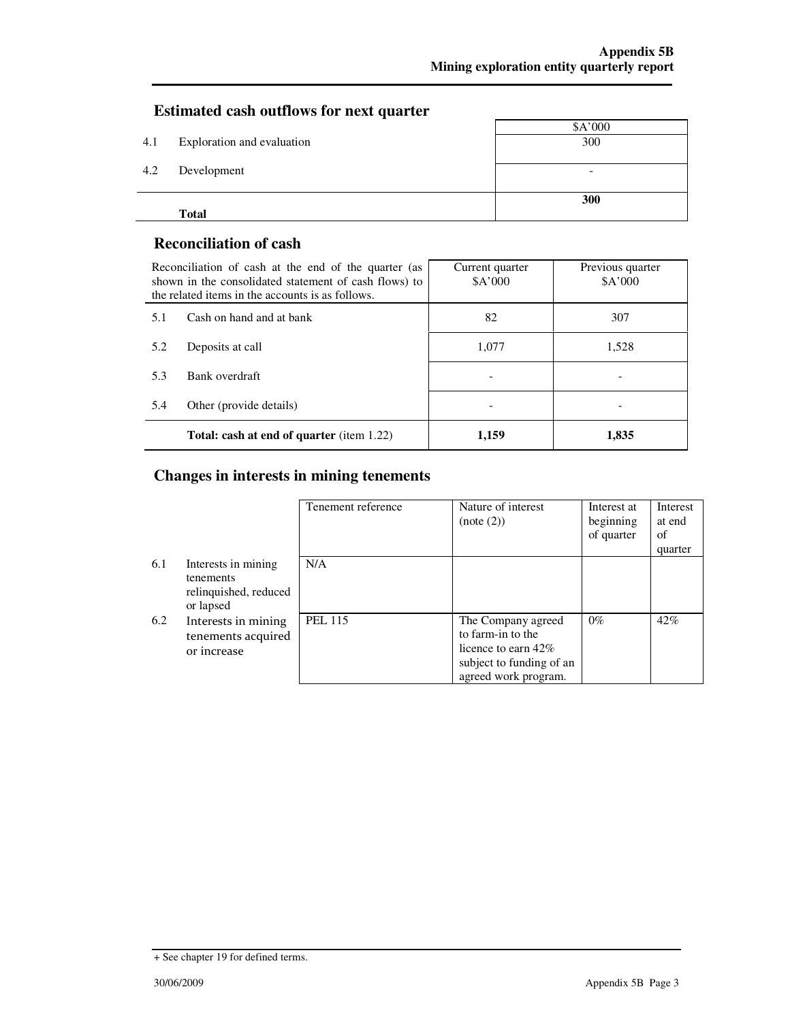# **Estimated cash outflows for next quarter**

|     | <b>Total</b>               |                          |
|-----|----------------------------|--------------------------|
|     |                            | 300                      |
| 4.2 | Development                | $\overline{\phantom{a}}$ |
|     |                            |                          |
| 4.1 | Exploration and evaluation | 300                      |
|     |                            | \$A'000                  |

### **Reconciliation of cash**

| Reconciliation of cash at the end of the quarter (as<br>shown in the consolidated statement of cash flows) to<br>the related items in the accounts is as follows. |                                                  | Current quarter<br>\$A'000 | Previous quarter<br>A'000 |
|-------------------------------------------------------------------------------------------------------------------------------------------------------------------|--------------------------------------------------|----------------------------|---------------------------|
| 5.1                                                                                                                                                               | Cash on hand and at bank                         | 82                         | 307                       |
| 5.2                                                                                                                                                               | Deposits at call                                 | 1.077                      | 1.528                     |
| 5.3                                                                                                                                                               | Bank overdraft                                   |                            |                           |
| 5.4                                                                                                                                                               | Other (provide details)                          |                            |                           |
|                                                                                                                                                                   | <b>Total: cash at end of quarter</b> (item 1.22) | 1,159                      | 1,835                     |

# **Changes in interests in mining tenements**

|     |                                                                        | Tenement reference | Nature of interest<br>(note (2))                                                                                    | Interest at<br>beginning<br>of quarter | <b>Interest</b><br>at end<br>of<br>quarter |
|-----|------------------------------------------------------------------------|--------------------|---------------------------------------------------------------------------------------------------------------------|----------------------------------------|--------------------------------------------|
| 6.1 | Interests in mining<br>tenements<br>relinquished, reduced<br>or lapsed | N/A                |                                                                                                                     |                                        |                                            |
| 6.2 | Interests in mining<br>tenements acquired<br>or increase               | <b>PEL 115</b>     | The Company agreed<br>to farm-in to the<br>licence to earn 42\%<br>subject to funding of an<br>agreed work program. | $0\%$                                  | 42%                                        |

<sup>+</sup> See chapter 19 for defined terms.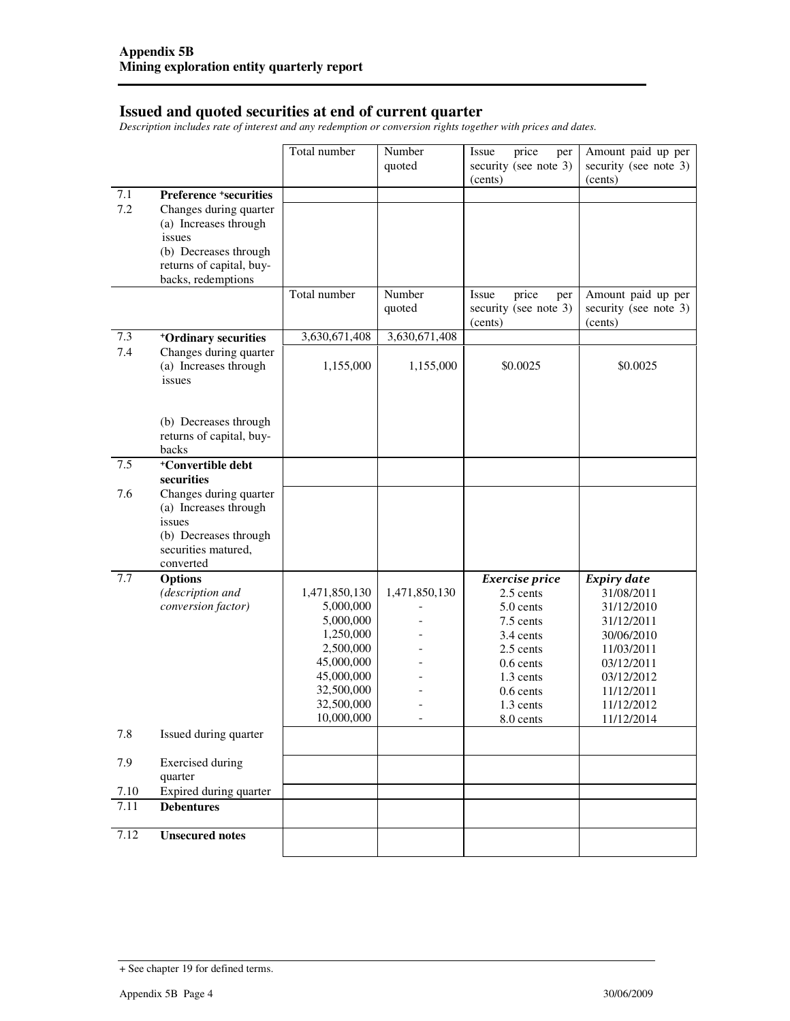#### **Issued and quoted securities at end of current quarter**

*Description includes rate of interest and any redemption or conversion rights together with prices and dates.* 

|      |                                                                                                                                      | Total number             | Number<br>quoted | price<br>Issue<br>per<br>security (see note 3)<br>(cents) | Amount paid up per<br>security (see note 3)<br>(cents) |
|------|--------------------------------------------------------------------------------------------------------------------------------------|--------------------------|------------------|-----------------------------------------------------------|--------------------------------------------------------|
| 7.1  | <b>Preference +securities</b>                                                                                                        |                          |                  |                                                           |                                                        |
| 7.2  | Changes during quarter<br>(a) Increases through<br>issues<br>(b) Decreases through<br>returns of capital, buy-<br>backs, redemptions |                          |                  |                                                           |                                                        |
|      |                                                                                                                                      | Total number             | Number<br>quoted | Issue<br>price<br>per<br>security (see note 3)<br>(cents) | Amount paid up per<br>security (see note 3)<br>(cents) |
| 7.3  | +Ordinary securities                                                                                                                 | 3,630,671,408            | 3,630,671,408    |                                                           |                                                        |
| 7.4  | Changes during quarter<br>(a) Increases through<br>issues                                                                            | 1,155,000                | 1,155,000        | \$0.0025                                                  | \$0.0025                                               |
|      | (b) Decreases through<br>returns of capital, buy-<br>backs                                                                           |                          |                  |                                                           |                                                        |
| 7.5  | +Convertible debt<br>securities                                                                                                      |                          |                  |                                                           |                                                        |
| 7.6  | Changes during quarter<br>(a) Increases through<br>issues<br>(b) Decreases through<br>securities matured,<br>converted               |                          |                  |                                                           |                                                        |
| 7.7  | <b>Options</b>                                                                                                                       |                          |                  | Exercise price                                            | <b>Expiry date</b>                                     |
|      | (description and                                                                                                                     | 1,471,850,130            | 1,471,850,130    | 2.5 cents                                                 | 31/08/2011                                             |
|      | conversion factor)                                                                                                                   | 5,000,000<br>5,000,000   |                  | 5.0 cents<br>7.5 cents                                    | 31/12/2010<br>31/12/2011                               |
|      |                                                                                                                                      | 1,250,000                |                  | 3.4 cents                                                 | 30/06/2010                                             |
|      |                                                                                                                                      | 2,500,000                |                  | 2.5 cents                                                 | 11/03/2011                                             |
|      |                                                                                                                                      | 45,000,000               |                  | $0.6$ cents                                               | 03/12/2011                                             |
|      |                                                                                                                                      | 45,000,000               |                  | 1.3 cents                                                 | 03/12/2012                                             |
|      |                                                                                                                                      | 32,500,000               |                  | $0.6$ cents                                               | 11/12/2011                                             |
|      |                                                                                                                                      | 32,500,000<br>10,000,000 |                  | 1.3 cents<br>8.0 cents                                    | 11/12/2012<br>11/12/2014                               |
| 7.8  | Issued during quarter                                                                                                                |                          |                  |                                                           |                                                        |
| 7.9  | <b>Exercised</b> during<br>quarter                                                                                                   |                          |                  |                                                           |                                                        |
| 7.10 | Expired during quarter                                                                                                               |                          |                  |                                                           |                                                        |
| 7.11 | <b>Debentures</b>                                                                                                                    |                          |                  |                                                           |                                                        |
| 7.12 | <b>Unsecured notes</b>                                                                                                               |                          |                  |                                                           |                                                        |

<sup>+</sup> See chapter 19 for defined terms.